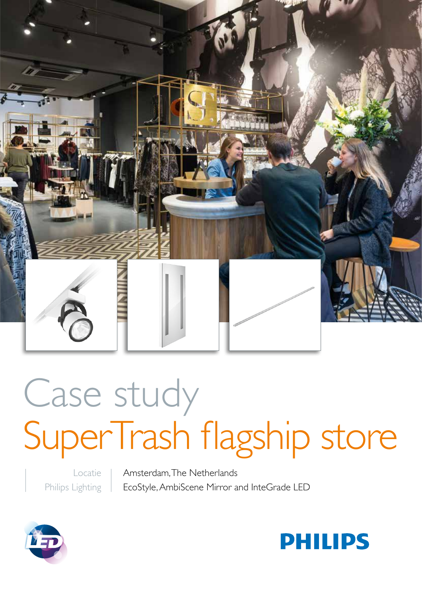

# Case study SuperTrash flagship store

Locatie Philips Lighting

Amsterdam, The Netherlands EcoStyle, AmbiScene Mirror and InteGrade LED



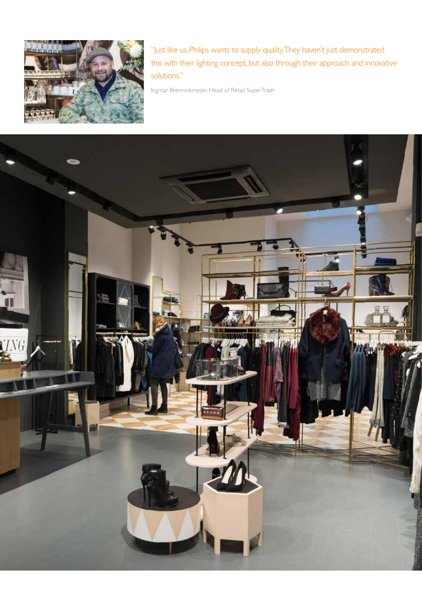

"Just like us, Philips wants to supply quality. They haven't just demonstrated this with their lighting concept, but also through their approach and innovative solutions."

Ingmar Brenninkmeijer, Head of Retail SuperTrash

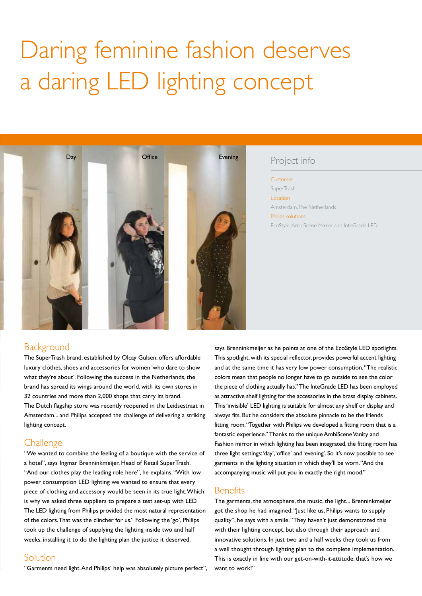## Daring feminine fashion deserves a daring LED lighting concept



### Project info

Customer **SuperTrash** Location Amsterdam, The Netherlands Philips solutions EcoStyle, AmbiScene Mirror and InteGrade LED

#### **Background**

The SuperTrash brand, established by Olcay Gulsen, offers affordable luxury clothes, shoes and accessories for women 'who dare to show what they're about'. Following the success in the Netherlands, the brand has spread its wings around the world, with its own stores in 32 countries and more than 2,000 shops that carry its brand. The Dutch flagship store was recently reopened in the Leidsestraat in Amsterdam... and Philips accepted the challenge of delivering a striking lighting concept.

#### **Challenge**

"We wanted to combine the feeling of a boutique with the service of a hotel", says Ingmar Brenninkmeijer, Head of Retail SuperTrash. "And our clothes play the leading role here", he explains. "With low power consumption LED lighting we wanted to ensure that every piece of clothing and accessory would be seen in its true light. Which is why we asked three suppliers to prepare a test set-up with LED. The LED lighting from Philips provided the most natural representation of the colors. That was the clincher for us." Following the 'go', Philips took up the challenge of supplying the lighting inside two and half weeks, installing it to do the lighting plan the justice it deserved.

#### Solution

"Garments need light. And Philips' help was absolutely picture perfect",

says Brenninkmeijer as he points at one of the EcoStyle LED spotlights. This spotlight, with its special reflector, provides powerful accent lighting and at the same time it has very low power consumption. "The realistic colors mean that people no longer have to go outside to see the color the piece of clothing actually has." The InteGrade LED has been employed as attractive shelf lighting for the accessories in the brass display cabinets. This 'invisible' LED lighting is suitable for almost any shelf or display and always fits. But he considers the absolute pinnacle to be the friends fitting room. "Together with Philips we developed a fitting room that is a fantastic experience." Thanks to the unique AmbiScene Vanity and Fashion mirror in which lighting has been integrated, the fitting room has three light settings: 'day', 'office' and 'evening'. So it's now possible to see garments in the lighting situation in which they'll be worn. "And the accompanying music will put you in exactly the right mood."

#### **Benefits**

The garments, the atmosphere, the music, the light... Brenninkmeijer got the shop he had imagined. "Just like us, Philips wants to supply quality", he says with a smile. "They haven't just demonstrated this with their lighting concept, but also through their approach and innovative solutions. In just two and a half weeks they took us from a well thought through lighting plan to the complete implementation. This is exactly in line with our get-on-with-it-attitude: that's how we want to work!"